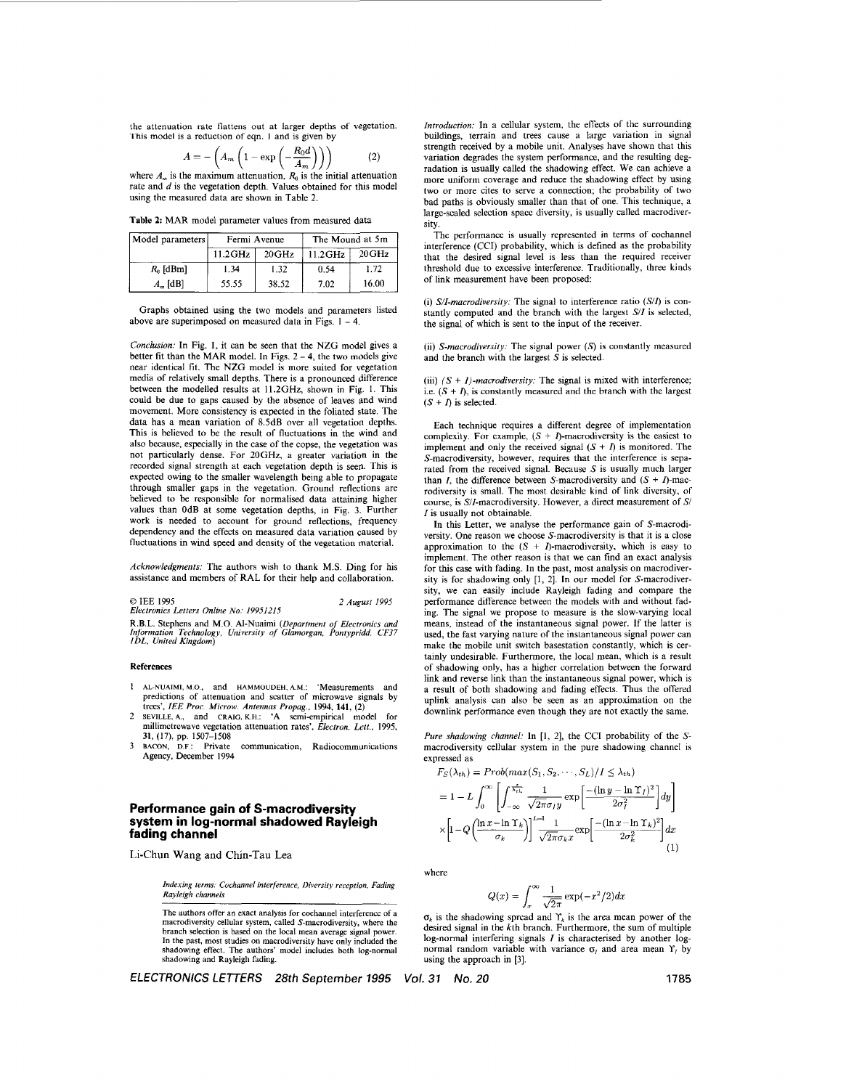the attenuation rate flattens out at larger depths of vegetation. This model is a reduction of eqn. I and is given by

$$
A = -\left(A_m \left(1 - \exp\left(-\frac{R_0 d}{A_m}\right)\right)\right)
$$
 (2)  
where *A* is the maximum attenuation *R*, is the initial attenuation

rate and  $\ddot{d}$  is the vegetation depth. Values obtained for this model using the measured data are shown in Table *2.* 

**Table 2:** MAR model parameter values from measured data

| Model parameters  |            | Fermi Avenue | The Mound at 5m |          |  |
|-------------------|------------|--------------|-----------------|----------|--|
|                   | $11.2$ GHz | 20GHz        | $11.2$ GHz      | $20$ GHz |  |
| $R_0$ [dBm]       | 1.34       | 1.32         | 0.54            | 1.72     |  |
| $A_{\infty}$ [dB] | 55.55      | 38.52        | 7.02            | 16.00    |  |

Graphs obtained using the two models and parameters listed above are superimposed on measured data in Figs.  $1 - 4$ 

Conclusion: In Fig. 1, it can be seen that the NZG model gives a better fit than the MAR model. In Figs.  $2 - 4$ , the two models give near identical fit. The NZG model is more suited for vegetation media of relatively small depths. There is a pronounced difference between the modelled results at 11.2GHz, shown in Fig. 1. This could be due to gaps caused by the absence of leaves and wind movement. More consistency is expected in the foliated state. The data has a mean variation of 8.5dB over all vegetation depths. This is believed to be the result of fluctuations in the wind and also because, especially in the case of the copse, the vegetation was not particularly dense. For 20GHz, a greater variation in the recorded signal strength at each vegetation depth is seen. This is expected owing to the smaller wavelength being able to propagate through smaller gaps in the vegetation. Ground reflections are believed to be responsible for normalised data attaining higher values than 0dB at some vegetation depths, in Fig. 3. Further work is needed to account for ground reflections, frequency dependency and the effects on measured data variation caused by fluctuations in wind speed and density of the vegetation material.

Acknowledgments: The authors wish to thank M.S. Ding for his assistance and members of RAL for their help and collaboration.

*0* IEE <sup>1995</sup> *Electronics Lellers Online No' 19951215 2 August 1995* 

R.B.L. Stephens and M.O. AI-Nuaimi *(Ucpurtmcnr of Electronics and Information Technology, University of Glamorgun, Pontypridd. CF37 IDL, United Kingdom)* 

## **References**

- <sup>1</sup>**AL-NUAIMI, M** *0,* and **HAMMOUDEH. A.M.:** 'Measurements and predictions of attenuation and scatter of microwave signals by trees', *IEE Pror. Microw. Antennus Propug.,* 1994, **141, (2)**  2 SEVILLE, **A.,** and **CRAIG, K.H.:** 'A semi-empirical model **for**
- millimctrewave vegetation attenuation rates', *Electron. Lett.,* 1995, **31, (17), pp.** 1507-1508
- 3 **BACON**, D.F.: Private communication, Radiocommunications Agency, December 1994

# **Performance gain of S-macrodiversity system in log-normal shadowed Rayleigh fading channel**

Li-Chun **Wang and** Chin-Tau **Lea** 

*Indexing terms. Cochunnrl interference, Divprsiiy reception. Fading Ruyleigh channels* 

The authors offer an exact analysis for cochannel interferencc of a macrodiversity cellular system, called S-macrodiversity, where the branch selection is based on the local mean average signal power. In the past, **most** studies on macrodiversity have only included the shadowing effect. The authors' model includes both log-normal shadowing and Rayleigh fading.

*ELECTRONICS LE77ERS 28th* September *1995 Vol. 31 No. 20* **1785** 

*Introduction:* In a cellular system, the effects of the surrounding buildings, terrain and trees cause a large variation in signal strength received by a mobile unit. Analyses have shown that this variation degrades the system performance, and the resulting degradation is usually called the shadowing effect. We can achieve a more uniform coverage and reduce the shadowing effect by using two or more cites to serve a connection; the probability of two bad paths is obviously smaller than that of one. This technique, a largc-scaled selection spacc diversity, is usually called macrodiversity.

Thc performancc is usually represented in terms of cochannel interference (CCI) probability, which is defined as the probability that the desired signal level is less than the required receiver threshold due to excessive interference. Traditionally, three kinds of link measurement have been proposed:

(i) *S/I-macrodiversity:* The signal to interference ratio *(S/I)* is constantly computed and the branch with the largest *SII* **is** selected, the signal of which is sent to the input of the receiver.

(ii) *S-macrodiversity:* The signal power (S) is constantly measured and the branch with the largest  $S$  is selected.

(iii)  $(S + I)$ -macrodiversity: The signal is mixed with interference; i.e.  $(S + I)$ , is constantly measured and the branch with the largest  $(S + I)$  is selected.

Each technique requires a different degree of implementation complexity. For example,  $(S + I)$ -macrodiversity is the easiest to implement and only the received signal  $(S + I)$  is monitored. The S-macrodiversity, however, requires that the interference is separated from the received signal. Because  $S$  is usually much larger than *I*, the difference between *S*-macrodiversity and  $(S + I)$ -macrodiversity is small. The most desirable kind of link diversity, of course, is  $S/I$ -macrodiversity. However, a direct measurement of  $S/I$ *I* is usually not obtainable.

In this Letter, we analyse the performance gain of S-macrodiversity. One reason we choose S-macrodiversity is that it is a close approximation to the  $(S + I)$ -macrodiversity, which is easy to implement. The other reason is that we can find an exact analysis for this case with fading. In the past, most analysis on macrodiversity **is** for shadowing only [l, 21. In our model for S-macrodiversity, we can easily include Rayleigh fading and compare the performance difference between the models with and without fading. The signal we propose to measure is the slow-varying local means, instead of the instantaneous signal power. If the latter is used, the fast varying nature of the instantaneous signal power can make the mobile unit switch basestation constantly, which is certainly undesirable. Furthermore, the local mean, which is a result of shadowing only, has a higher correlation between the forward link and reverse link than the instantaneous signal power, which is a result of both shadowing and fading effects. Thus the offered uplink analysis can also be seen as an approximation on the downlink performance even though they are not exactly the same.

Pure shadowing channel: In [1, 2], the CCI probability of the Smacrodiversity cellular system in the pure shadowing channel is expressed as FS(Xth) = *P1-ob(maL-(S1.Sz."'.S~j/I 5*Xth)

$$
F_S(\lambda_{th}) = Prob(max(S_1, S_2, \cdots, S_L)/I \le \lambda_{th})
$$
  
=  $1 - L \int_0^\infty \left[ \int_{-\infty}^{\frac{x}{\lambda_{th}}} \frac{1}{\sqrt{2\pi}\sigma_I y} \exp\left[\frac{-(\ln y - \ln \Upsilon_I)^2}{2\sigma_I^2}\right] dy \right]$   

$$
\times \left[ 1 - Q \left( \frac{\ln x - \ln \Upsilon_k}{\sigma_k} \right) \right] \frac{1}{\sqrt{2\pi}\sigma_k x} \exp\left[\frac{-(\ln x - \ln \Upsilon_k)^2}{2\sigma_k^2}\right] dx
$$
 (1)

where

$$
Q(x) = \int_{x}^{\infty} \frac{1}{\sqrt{2\pi}} \exp(-x^2/2) dx
$$

 $\sigma_k$  is the shadowing spread and  $\Upsilon_k$  is the area mean power of the desired signal in the kth branch. Furthermore, the sum of multiple log-normal interfering signals *I* is characterised by another lognormal random variable with variance  $\sigma_i$  and area mean  $\Upsilon_i$  by using the approach in [3].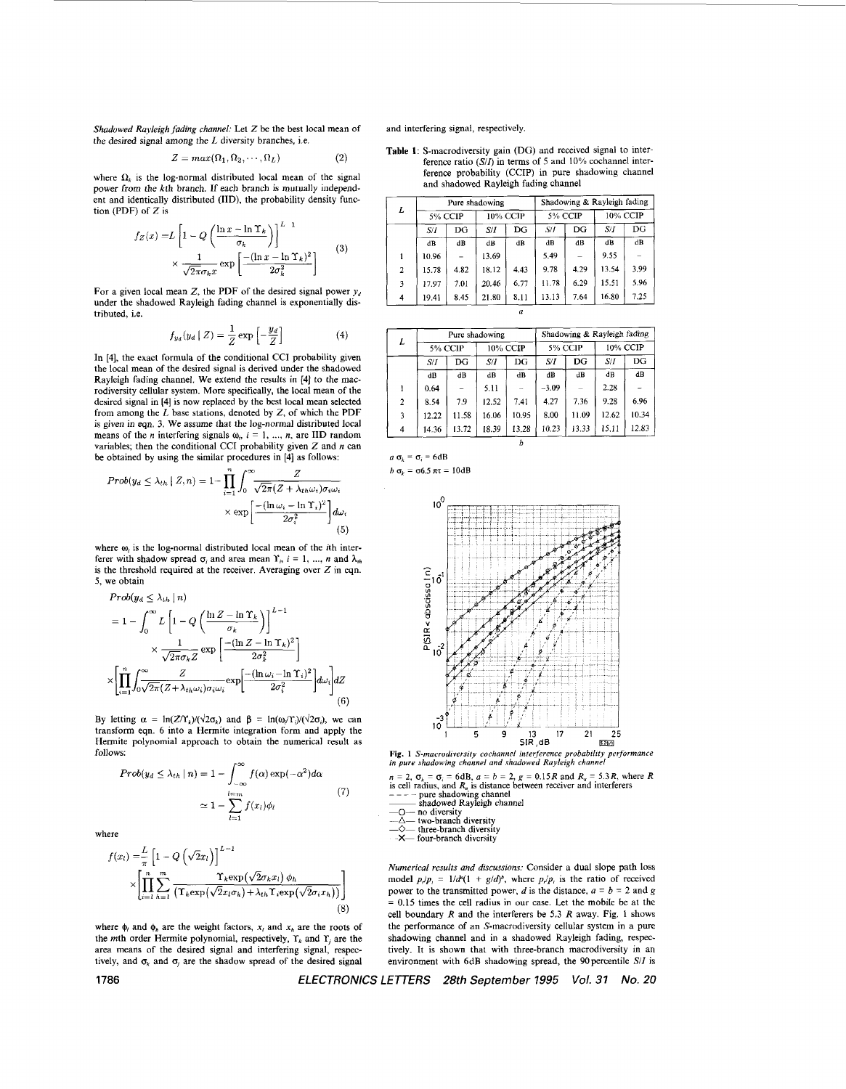<span id="page-1-0"></span>*Shadowed Rayleigh fading channel:* Let *Z* be the best local mean **of**  the desired signal among the *L* diversity branches, i.e.

$$
Z = max(\Omega_1, \Omega_2, \cdots, \Omega_L)
$$
 (2)

where  $\Omega_k$  is the log-normal distributed local mean of the signal power from the kth branch. If each branch is mutually independent and identically distributed (IID), the probability density function (PDF) of *Z* is

$$
f_Z(x) = L \left[ 1 - Q \left( \frac{\ln x - \ln \Upsilon_k}{\sigma_k} \right) \right]^{L-1}
$$
  
 
$$
\times \frac{1}{\sqrt{2\pi}\sigma_k x} \exp \left[ \frac{-(\ln x - \ln \Upsilon_k)^2}{2\sigma_k^2} \right]
$$
 (3)

For a given local mean *Z*, the PDF of the desired signal power  $y_d$ under the shadowed Rayleigh fading channel is exponentially distributed, i.e.

$$
f_{y_d}(y_d \mid Z) = \frac{1}{Z} \exp\left[-\frac{y_d}{Z}\right] \tag{4}
$$

In **[4],** the exact formula of the conditional CCI probability given the local mean of the desired signal is derived under the shadowed Rayleigh fading channel. We extend the results in [4] to the macrodiversity cellular system. **More** specifically, the local mean of the desired signal in **141** is now replaced by the best local mean selected from among the *L* base stations, denoted by *2,* of which the PDF is given in eqn. 3. We assume that the log-normal distributed local means of the *n* interfering signals  $\omega_i$ ,  $i = 1, ..., n$ , are IID random variables; then the conditional CCI probability given *Z* and *n* can be obtained by using the similar procedures in **[4]** as follows:

$$
Prob(y_d \le \lambda_{th} \mid Z, n) = 1 - \prod_{i=1}^{n} \int_0^{\infty} \frac{Z}{\sqrt{2\pi (Z + \lambda_{th}\omega_i)\sigma_i\omega_i}} \times \exp\left[\frac{-(\ln\omega_i - \ln\Upsilon_i)^2}{2\sigma_i^2}\right] d\omega_i
$$
\n(5)

where  $\omega_i$  is the log-normal distributed local mean of the *i*th interferer with shadow spread  $\sigma_i$  and area mean  $\Upsilon_i$ ,  $i = 1, ..., n$  and  $\lambda_{ik}$ is the threshold required at the receiver. Averaging over *2* in eqn. *5,* we obtain

$$
Prob(y_d \le \lambda_{th} \mid n)
$$
\n
$$
= 1 - \int_0^\infty L \left[ 1 - Q \left( \frac{\ln Z - \ln \Upsilon_k}{\sigma_k} \right) \right]^{L-1}
$$
\n
$$
\times \frac{1}{\sqrt{2\pi}\sigma_k Z} \exp \left[ \frac{-(\ln Z - \ln \Upsilon_k)^2}{2\sigma_k^2} \right]
$$
\n
$$
\times \left[ \prod_{i=1}^n \int_0^\infty \frac{Z}{\sqrt{2\pi} (Z + \lambda_{th}\omega_i)\sigma_i\omega_i} \exp \left[ \frac{-(\ln \omega_i - \ln \Upsilon_i)^2}{2\sigma_i^2} \right] d\omega_i \right] dZ
$$
\n(6)

By letting  $\alpha = \ln(Z/\Upsilon_k)/(\sqrt{2}\sigma_k)$  and  $\beta = \ln(\omega_k/\Upsilon_k)/(\sqrt{2}\sigma_k)$ , we can transform eqn. 6 into a Hermite integration form and apply the Hermite polynomial approach to obtain the numerical **result** as follows:

$$
Prob(y_d \leq \lambda_{th} \mid n) = 1 - \int_{-\infty}^{\infty} f(\alpha) \exp(-\alpha^2) d\alpha
$$

$$
\approx 1 - \sum_{l=1}^{l=m} f(x_l) \phi_l \tag{7}
$$

where

$$
f(x_l) = \frac{L}{\pi} \left[ 1 - Q\left(\sqrt{2}x_l\right) \right]^{L-1} \times \left[ \prod_{i=1}^n \sum_{h=1}^m \frac{\Upsilon_k \exp\left(\sqrt{2}\sigma_k x_l\right) \phi_h}{\left(\Upsilon_k \exp\left(\sqrt{2}x_l \sigma_k\right) + \lambda_{th} \Upsilon_i \exp\left(\sqrt{2}\sigma_i x_h\right)\right)} \right]
$$
\n(8)

where  $\phi_i$  and  $\phi_j$  are the weight factors,  $x_i$  and  $x_j$  are the roots of the *m*th order Hermite polynomial, respectively,  $\Upsilon_k$  and  $\Upsilon_j$  are the area means of the desired signal and interfering signal, respectively, and  $\sigma_k$  and  $\sigma_j$  are the shadow spread of the desired signal

and interfering signal, respectively.

**Table 1:** S-macrodiversity gain (DG) and received signal to interference ratio *(Si0* in terms of *5* and 10% cochannel interference probability (CCIP) in pure shadowing channel and shadowed Rayleigh fading channel

| L              |               | Pure shadowing |          |             |         | Shadowing & Rayleigh fading |          |      |  |
|----------------|---------------|----------------|----------|-------------|---------|-----------------------------|----------|------|--|
|                | 5% CCIP       |                | 10% CCIP |             | 5% CCIP |                             | 10% CCIP |      |  |
|                | S/I           | DG             | S/I      | $_{\rm DG}$ | S/I     | DG                          | S/I      | DG   |  |
|                | $d\mathbf{B}$ | dB             | dB       | dB          | dB      | dB                          | dB       | dB   |  |
| 1              | 10.96         |                | 13.69    |             | 5.49    |                             | 9.55     |      |  |
| $\overline{2}$ | 15.78         | 4.82           | 18.12    | 4.43        | 9.78    | 4.29                        | 13.54    | 3.99 |  |
| 3              | 17.97         | 7.01           | 20.46    | 6.77        | 11.78   | 6.29                        | 15.51    | 5.96 |  |
| 4              | 19.41         | 8.45           | 21.80    | 8.11        | 13.13   | 7.64                        | 16.80    | 7.25 |  |
|                |               |                |          |             |         |                             |          |      |  |

| L              | Pure shadowing |       |          |       | Shadowing & Rayleigh fading |       |          |               |
|----------------|----------------|-------|----------|-------|-----------------------------|-------|----------|---------------|
|                | <b>5% CCIP</b> |       | 10% CCIP |       | <b>5% CCIP</b>              |       | 10% CCIP |               |
|                | S/I            | DG    | S/I      | DG    | S/I                         | DG    | S/I      | DG            |
|                | dB             | dB    | dB       | dB    | dB                          | dB    | dB       | $\mathbf{dB}$ |
|                | 0.64           |       | 5.11     |       | $-3.09$                     |       | 2.28     |               |
| $\overline{2}$ | 8.54           | 7.9   | 12.52    | 7.41  | 4.27                        | 7.36  | 9.28     | 6.96          |
| 3              | 12.22          | 11.58 | 16.06    | 10.95 | 8.00                        | 11.09 | 12.62    | 10.34         |
| 4              | 14.36          | 13.72 | 18.39    | 13.28 | 10.23                       | 13.33 | 15.11    | 12.83         |

$$
\frac{4}{a \sigma_k} = \frac{14.36}{\sigma_i} = 6 \text{ dB}
$$

$$
h \sigma_k = \sigma 6.5 \pi \tau = 10 \text{dB}
$$



**Fig. 1** *S-macrudiversiry cochannel inrerjerence probability performance in pure Jhadowing channel and rhadowed Rayleigh channel* 

 $n = 2$ ,  $\sigma_k = \sigma_i = 6 dB$ ,  $a = b = 2$ ,  $g = 0.15R$  and  $R_u = 5.3R$ , where R is cell radius, and  $R_u$  is distance between receiver and interferers  $\begin{array}{l} \n\text{---} \text{---} \text{修} \text{ hadowed Rayleigh channel} \\
\hline \n\text{---} \text{---} \text{--} \text{and diversity} \n\end{array}$ 

- 
- 

**-A-** two-branch diversity *-0-* three-branch diversity **~X-** four-branch divcrsity

*Numerical results and discussions:* Consider a dual slope path **loss**  model  $p/p = 1/d^q(1 + g/d)^b$ , where  $p/p$ , is the ratio of received power to the transmitted power, *d* is the distance,  $a = b = 2$  and g = 0.15 times the cell radius in our case. Let the mobile be at the cell boundary *R* and the interferers he **5.3** *R* away. Fig. 1 shows the performance of an S-macrodiversity cellular system in a pure shadowing channel and in a shadowed Rayleigh fading, respectively. It is shown that with three-branch macrodiversity in an environment with 6dB shadowing spread, the 90 percentile **S/Z** is